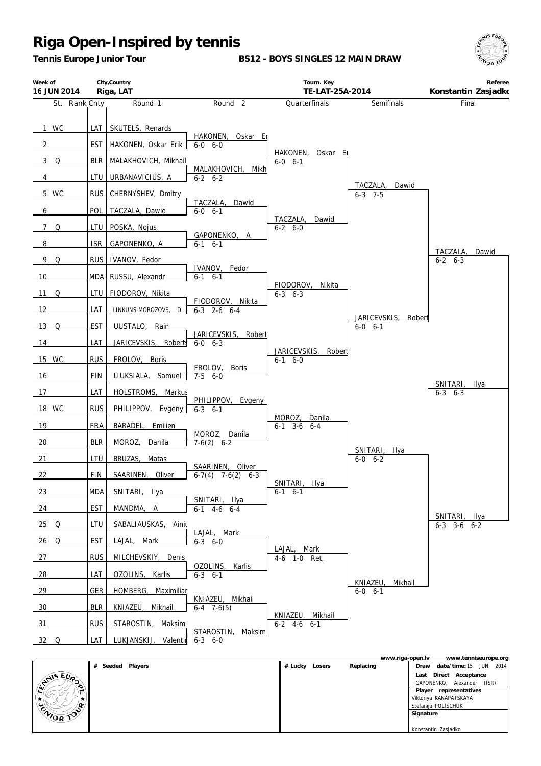*Tennis Europe Junior Tour*

**BS12 - BOYS SINGLES 12 MAIN DRAW**



| Week of<br>16 JUN 2014 | City, Country<br>Riga, LAT |                                         |                                     | Tourn. Key<br>TE-LAT-25A-2014          | Referee<br>Konstantin Zasjadko       |                                    |
|------------------------|----------------------------|-----------------------------------------|-------------------------------------|----------------------------------------|--------------------------------------|------------------------------------|
| St. Rank Cnty          |                            | Round 1                                 | Round <sub>2</sub>                  | Quarterfinals                          | Semifinals                           | Final                              |
| 1 WC<br>$\overline{2}$ | LAT<br><b>EST</b>          | SKUTELS, Renards<br>HAKONEN, Oskar Erik | HAKONEN,<br>Oskar Er<br>$6-0$ $6-0$ |                                        |                                      |                                    |
| 3 Q                    | <b>BLR</b>                 | MALAKHOVICH, Mikhail                    |                                     | HAKONEN,<br>Oskar Er<br>$6-0$ $6-1$    |                                      |                                    |
| $\overline{4}$         | LTU                        | URBANAVICIUS, A                         | MALAKHOVICH, Mikh<br>$6 - 2 6 - 2$  |                                        |                                      |                                    |
| 5 WC                   | <b>RUS</b>                 | CHERNYSHEV, Dmitry                      |                                     |                                        | TACZALA,<br>Dawid<br>$6 - 3$ 7-5     |                                    |
| 6                      | POL                        | TACZALA, Dawid                          | TACZALA,<br>Dawid<br>$6 - 0 6 - 1$  |                                        |                                      |                                    |
| 7Q                     | LTU                        | POSKA, Nojus                            |                                     | TACZALA,<br>Dawid<br>$6 - 2 6 - 0$     |                                      |                                    |
| 8                      | <b>ISR</b>                 | GAPONENKO, A                            | GAPONENKO, A<br>$6-1$ $6-1$         |                                        |                                      |                                    |
| 9Q                     | <b>RUS</b>                 | IVANOV, Fedor                           |                                     |                                        |                                      | TACZALA,<br>Dawid<br>$6 - 2 6 - 3$ |
| 10                     | MDA                        | RUSSU, Alexandr                         | IVANOV,<br>Fedor<br>$6-1$ $6-1$     |                                        |                                      |                                    |
| 11 Q                   | LTU                        | FIODOROV, Nikita                        |                                     | FIODOROV,<br>Nikita<br>$6 - 3$ $6 - 3$ |                                      |                                    |
| 12                     | LAT                        | LINKUNS-MOROZOVS, D                     | FIODOROV, Nikita<br>$6-3$ 2-6 $6-4$ |                                        |                                      |                                    |
| $13$ Q                 | EST                        | UUSTALO,<br>Rain                        | Robert                              |                                        | JARICEVSKIS, Robert<br>$6 - 0 6 - 1$ |                                    |
| 14                     | LAT                        | JARICEVSKIS, Roberts                    | JARICEVSKIS,<br>$6 - 0 6 - 3$       |                                        |                                      |                                    |
| 15 WC                  | <b>RUS</b>                 | FROLOV, Boris                           | FROLOV,<br>Boris                    | JARICEVSKIS, Robert<br>$6-1$ $6-0$     |                                      |                                    |
| 16                     | <b>FIN</b>                 | LIUKSIALA, Samuel                       | $7-5$ 6-0                           |                                        |                                      | SNITARI, Ilya                      |
| 17                     | LAT                        | HOLSTROMS, Markus                       | PHILIPPOV, Evgeny                   |                                        |                                      | $6 - 3$ $6 - 3$                    |
| 18 WC                  | <b>RUS</b>                 | PHILIPPOV, Evgeny                       | $6 - 3$ $6 - 1$                     | MOROZ, Danila                          |                                      |                                    |
| 19                     | <b>FRA</b>                 | BARADEL, Emilien                        | MOROZ, Danila                       | $6-1$ $3-6$ $6-4$                      |                                      |                                    |
| 20                     | <b>BLR</b>                 | MOROZ, Danila                           | $7-6(2)$ 6-2                        |                                        | SNITARI, Ilya                        |                                    |
| 21                     | LTU                        | BRUZAS, Matas                           | SAARINEN, Oliver                    |                                        | $6-0$ $6-2$                          |                                    |
| 22                     | <b>FIN</b>                 | SAARINEN,<br>Oliver                     | $\overline{6-7(4)}$ 7-6(2) 6-3      | SNITARI, Ilya                          |                                      |                                    |
| 23                     | <b>MDA</b>                 | SNITARI, Ilya                           | SNITARI, Ilya                       | $6-1$ $6-1$                            |                                      |                                    |
| 24                     | <b>EST</b>                 | MANDMA, A                               | $6-1$ 4-6 6-4                       |                                        |                                      | SNITARI, Ilya                      |
| $25$ Q                 | LTU                        | SABALIAUSKAS, Ainiu                     | LAJAL, Mark                         |                                        |                                      | $6-3$ $3-6$ $6-2$                  |
| 26 Q                   | EST                        | LAJAL, Mark                             | $6 - 3$ $6 - 0$                     | LAJAL, Mark                            |                                      |                                    |
| 27                     | <b>RUS</b>                 | MILCHEVSKIY, Denis                      | OZOLINS,<br>Karlis                  | 4-6 1-0 Ret.                           |                                      |                                    |
| 28                     | LAT                        | OZOLINS, Karlis                         | $6-3$ $6-1$                         |                                        | KNIAZEU.<br>Mikhail                  |                                    |
| 29                     | <b>GER</b>                 | HOMBERG, Maximiliar                     | KNIAZEU, Mikhail                    |                                        | $6-0$ $6-1$                          |                                    |
| 30                     | <b>BLR</b><br><b>RUS</b>   | KNIAZEU,<br>Mikhail                     | $6-4$ 7 $-6(5)$                     | KNIAZEU, Mikhail                       |                                      |                                    |
| 31                     |                            | STAROSTIN, Maksim                       | STAROSTIN, Maksim<br>$6 - 3 6 - 0$  | $6-2$ 4-6 6-1                          |                                      |                                    |
| $32$ Q                 | LAT                        | LUKJANSKIJ, Valentir                    |                                     |                                        |                                      |                                    |

|                     |         |        |           | www.riga-open.lv       | www.tenniseurope.org       |  |
|---------------------|---------|--------|-----------|------------------------|----------------------------|--|
| Seeded Players<br># | # Lucky | Losers | Replacing | Draw                   | date/time: $15$ JUN 2014   |  |
|                     |         |        |           | Last                   | Direct Acceptance          |  |
| <b>ANSEUP</b><br>∙  |         |        |           |                        | GAPONENKO, Alexander (ISR) |  |
| m                   |         |        |           | Player representatives |                            |  |
|                     |         |        |           | Viktoriya KANAPATSKAYA |                            |  |
|                     |         |        |           | Stefanija POLISCHUK    |                            |  |
| ENIOR TOP           |         |        |           | Signature              |                            |  |
|                     |         |        |           |                        |                            |  |
|                     |         |        |           | Konstantin Zasjadko    |                            |  |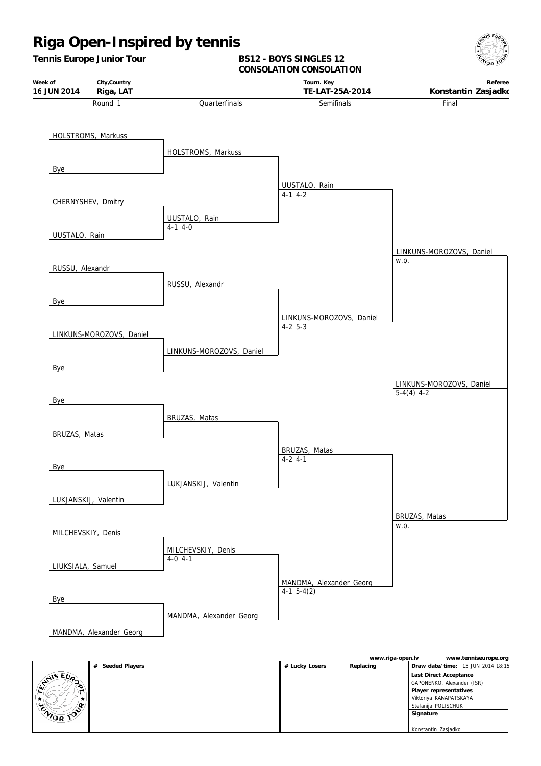

|                                | # Seeded Players | # Lucky Losers | Replacing | Draw date/time: 15 JUN 2014 18:1 |
|--------------------------------|------------------|----------------|-----------|----------------------------------|
| $E_{\mu_{\alpha}}$<br>$A^{15}$ |                  |                |           | Last Direct Acceptance           |
|                                |                  |                |           | GAPONENKO, Alexander (ISR)       |
|                                |                  |                |           | Player representatives           |
| ₩.                             |                  |                |           | Viktoriya KANAPATSKAYA           |
| œ.                             |                  |                |           | Stefanija POLISCHUK              |
| CNIOR TOP                      |                  |                |           | Signature                        |
|                                |                  |                |           |                                  |
|                                |                  |                |           | Konstantin Zasjadko              |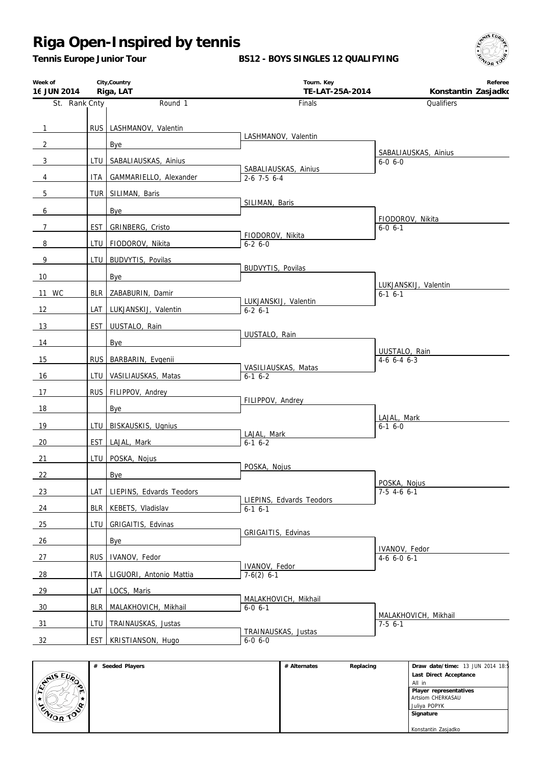*Tennis Europe Junior Tour*

#### **BS12 - BOYS SINGLES 12 QUALIFYING**



| Week of<br>16 JUN 2014 |            | City, Country<br>Riga, LAT   | Tourn. Key<br>TE-LAT-25A-2014         | Referee<br>Konstantin Zasjadko    |
|------------------------|------------|------------------------------|---------------------------------------|-----------------------------------|
| St. Rank Cnty          |            | Round 1                      | Finals                                | Qualifiers                        |
|                        |            |                              |                                       |                                   |
| $\mathbf{1}$           |            | RUS   LASHMANOV, Valentin    | LASHMANOV, Valentin                   |                                   |
| $\overline{2}$         |            | Bye                          |                                       | SABALIAUSKAS, Ainius              |
| $\mathbf{3}$           | LTU        | SABALIAUSKAS, Ainius         | SABALIAUSKAS, Ainius                  | $6 - 0 6 - 0$                     |
| $\overline{4}$         | ITA I      | GAMMARIELLO, Alexander       | $2-6$ 7-5 6-4                         |                                   |
| 5                      |            | TUR SILIMAN, Baris           |                                       |                                   |
| 6                      |            | Bye                          | SILIMAN, Baris                        |                                   |
| $\overline{7}$         | EST        | GRINBERG, Cristo             |                                       | FIODOROV, Nikita<br>$6 - 0 6 - 1$ |
| 8                      |            | LTU   FIODOROV, Nikita       | FIODOROV, Nikita<br>$6 - 26 - 0$      |                                   |
| 9                      | LTU I      | BUDVYTIS, Povilas            |                                       |                                   |
| 10                     |            | Bye                          | BUDVYTIS, Povilas                     |                                   |
| 11 WC                  | BLR        | ZABABURIN, Damir             |                                       | LUKJANSKIJ, Valentin              |
|                        |            |                              | LUKJANSKIJ, Valentin                  | $6-1$ $6-1$                       |
| 12                     |            | LAT LUKJANSKIJ, Valentin     | $6 - 2 6 - 1$                         |                                   |
| 13                     |            | EST UUSTALO, Rain            | UUSTALO, Rain                         |                                   |
| 14                     |            | Bye                          |                                       | UUSTALO, Rain                     |
| 15                     |            | RUS BARBARIN, Evgenii        | VASILIAUSKAS, Matas                   | $4-6$ 6-4 6-3                     |
| 16                     |            | LTU   VASILIAUSKAS, Matas    | $6-1$ $6-2$                           |                                   |
| 17                     |            | RUS   FILIPPOV, Andrey       |                                       |                                   |
| 18                     |            | Bye                          | FILIPPOV, Andrey                      |                                   |
| 19                     |            | LTU BISKAUSKIS, Ugnius       |                                       | LAJAL, Mark<br>$6-1$ $6-0$        |
| 20                     |            | EST LAJAL, Mark              | LAJAL, Mark<br>$6-1$ $6-2$            |                                   |
| 21                     |            | LTU POSKA, Nojus             |                                       |                                   |
| 22                     |            | Bye                          | POSKA, Nojus                          |                                   |
|                        |            |                              |                                       | POSKA, Nojus                      |
| 23                     |            | LAT LIEPINS, Edvards Teodors | LIEPINS, Edvards Teodors              | $7-5$ 4-6 6-1                     |
| 24                     |            | BLR   KEBETS, Vladislav      | $6-1$ $6-1$                           |                                   |
| 25                     | LTU        | GRIGAITIS, Edvinas           | GRIGAITIS, Edvinas                    |                                   |
| 26                     |            | Bye                          |                                       | IVANOV, Fedor                     |
| 27                     | <b>RUS</b> | IVANOV, Fedor                | IVANOV, Fedor                         | $4-6$ 6-0 6-1                     |
| 28                     | <b>ITA</b> | LIGUORI, Antonio Mattia      | $7-6(2)$ 6-1                          |                                   |
| 29                     | LAT        | LOCS, Maris                  |                                       |                                   |
| 30                     | <b>BLR</b> | MALAKHOVICH, Mikhail         | MALAKHOVICH, Mikhail<br>$6 - 0 6 - 1$ |                                   |
| 31                     | LTU        | TRAINAUSKAS, Justas          |                                       | MALAKHOVICH, Mikhail<br>$7-5$ 6-1 |
| 32                     |            | EST   KRISTIANSON, Hugo      | TRAINAUSKAS, Justas<br>$6-0$ $6-0$    |                                   |
|                        |            |                              |                                       |                                   |

|                          | # Seeded Players | # Alternates | Replacing | Draw date/time: 13 JUN 2014 18:5 |
|--------------------------|------------------|--------------|-----------|----------------------------------|
|                          |                  |              |           | Last Direct Acceptance           |
| $x^{\sqrt{15 E U \rho}}$ |                  |              |           | All in                           |
| $\mathbf{m}$             |                  |              |           | Player representatives           |
|                          |                  |              |           | Artsiom CHERKASAU                |
| n.<br>ີ                  |                  |              |           | Juliya POPYK                     |
| <b>CAIOR TOO</b>         |                  |              |           | Signature                        |
|                          |                  |              |           |                                  |
|                          |                  |              |           | Konstantin Zasjadko              |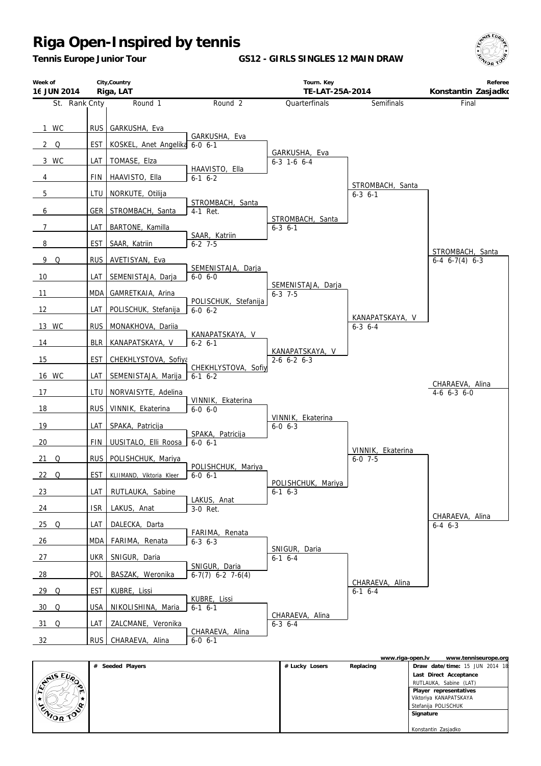*Tennis Europe Junior Tour*

**GS12 - GIRLS SINGLES 12 MAIN DRAW**



| Week of<br>16 JUN 2014 |                   | City, Country<br>Riga, LAT             |                                          | Tourn. Key<br>TE-LAT-25A-2014           |                                     | Referee<br>Konstantin Zasjadko           |
|------------------------|-------------------|----------------------------------------|------------------------------------------|-----------------------------------------|-------------------------------------|------------------------------------------|
| St. Rank Cnty          |                   | Round <sub>1</sub>                     | Round <sub>2</sub>                       | Quarterfinals                           | Semifinals                          | Final                                    |
| 1 WC<br>$2\quad$ Q     | <b>RUS</b><br>EST | GARKUSHA, Eva<br>KOSKEL, Anet Angelika | GARKUSHA, Eva<br>$6 - 0 6 - 1$           |                                         |                                     |                                          |
| 3 WC                   | LAT               | TOMASE, Elza                           |                                          | GARKUSHA, Eva<br>$6-3$ 1-6 $6-4$        |                                     |                                          |
| 4                      | <b>FIN</b>        | HAAVISTO, Ella                         | HAAVISTO, Ella<br>$6 - 1$ $6 - 2$        |                                         |                                     |                                          |
| 5                      | LTU               | NORKUTE, Otilija                       |                                          |                                         | STROMBACH, Santa<br>$6 - 3$ $6 - 1$ |                                          |
| $6\overline{6}$        | GER               | STROMBACH, Santa                       | STROMBACH, Santa<br>4-1 Ret.             |                                         |                                     |                                          |
| $\overline{7}$         | LAT               | BARTONE, Kamilla                       |                                          | STROMBACH, Santa<br>$6 - 3 \quad 6 - 1$ |                                     |                                          |
| 8                      | <b>EST</b>        | SAAR, Katriin                          | SAAR, Katriin<br>$6 - 2$ 7-5             |                                         |                                     |                                          |
| 9Q                     | <b>RUS</b>        | AVETISYAN, Eva                         |                                          |                                         |                                     | STROMBACH, Santa<br>$6-4$ $6-7(4)$ $6-3$ |
| 10                     | LAT               | SEMENISTAJA, Darja                     | SEMENISTAJA, Darja<br>$6 - 0 6 - 0$      |                                         |                                     |                                          |
| 11                     | MDA               | GAMRETKAIA, Arina                      |                                          | SEMENISTAJA, Darja<br>$6 - 3$ 7-5       |                                     |                                          |
| 12                     | LAT               | POLISCHUK, Stefanija                   | POLISCHUK, Stefanija<br>$6 - 0 6 - 2$    |                                         |                                     |                                          |
| 13 WC                  | <b>RUS</b>        | MONAKHOVA, Dariia                      |                                          |                                         | KANAPATSKAYA, V<br>$6-3$ $6-4$      |                                          |
| 14                     | <b>BLR</b>        | KANAPATSKAYA, V                        | KANAPATSKAYA, V<br>$6 - 2 6 - 1$         |                                         |                                     |                                          |
| 15                     | <b>EST</b>        | CHEKHLYSTOVA, Sofiya                   |                                          | KANAPATSKAYA, V<br>$2-6$ 6-2 6-3        |                                     |                                          |
| 16 WC                  | LAT               | SEMENISTAJA, Marija                    | CHEKHLYSTOVA, Sofiy<br>$6-1$ $6-2$       |                                         |                                     |                                          |
| 17                     | LTU               | NORVAISYTE, Adelina                    |                                          |                                         |                                     | CHARAEVA, Alina<br>$4-6$ $6-3$ $6-0$     |
| 18                     | <b>RUS</b>        | VINNIK, Ekaterina                      | VINNIK, Ekaterina<br>$6-0$ $6-0$         |                                         |                                     |                                          |
| 19                     | LAT               | SPAKA, Patricija                       |                                          | VINNIK, Ekaterina<br>$6 - 0 6 - 3$      |                                     |                                          |
| 20                     | <b>FIN</b>        | UUSITALO, Elli Roosa                   | SPAKA, Patricija<br>$6-0$ $6-1$          |                                         |                                     |                                          |
| 21 Q                   | <b>RUS</b>        | POLISHCHUK, Mariya                     |                                          |                                         | VINNIK, Ekaterina<br>$6 - 0$ 7-5    |                                          |
| 22 Q                   | <b>EST</b>        | KLIIMAND, Viktoria Kleer               | POLISHCHUK, Mariya<br>$6 - 0 6 - 1$      |                                         |                                     |                                          |
| $\frac{23}{2}$         | LAT               | RUTLAUKA, Sabine                       |                                          | POLISHCHUK, Mariya<br>$6-1$ $6-3$       |                                     |                                          |
| 24                     | <b>ISR</b>        | LAKUS, Anat                            | LAKUS, Anat<br>3-0 Ret.                  |                                         |                                     |                                          |
| <u>25 Q</u>            | LAT               | DALECKA, Darta                         |                                          |                                         |                                     | CHARAEVA, Alina<br>$6 - 4 \quad 6 - 3$   |
| 26                     | MDA               | FARIMA, Renata                         | FARIMA, Renata<br>$6 - 3$ $6 - 3$        |                                         |                                     |                                          |
| 27                     | <b>UKR</b>        | SNIGUR, Daria                          |                                          | SNIGUR, Daria<br>$6-1$ 6-4              |                                     |                                          |
| $\frac{28}{ }$         | POL               | BASZAK, Weronika                       | SNIGUR, Daria<br>$6-7(7)$ $6-2$ $7-6(4)$ |                                         |                                     |                                          |
| 29 Q                   | EST               | KUBRE, Lissi                           |                                          |                                         | CHARAEVA, Alina<br>$6-1$ $6-4$      |                                          |
| 30 Q                   | <b>USA</b>        | NIKOLISHINA, Maria                     | KUBRE, Lissi<br>$6-1$ $6-1$              |                                         |                                     |                                          |
| 31 Q                   | LAT               | ZALCMANE, Veronika                     |                                          | CHARAEVA, Alina<br>$6 - 3 \quad 6 - 4$  |                                     |                                          |
| 32                     | RUS               | CHARAEVA, Alina                        | CHARAEVA, Alina<br>$6 - 0 6 - 1$         |                                         |                                     |                                          |

|               |                  |                | www.riga-open.lv | www.tenniseurope.org           |
|---------------|------------------|----------------|------------------|--------------------------------|
|               | # Seeded Players | # Lucky Losers | Replacing        | Draw date/time: 15 JUN 2014 18 |
| <b>ANSEUP</b> |                  |                |                  | Last Direct Acceptance         |
| $\sim$        |                  |                |                  | RUTLAUKA, Sabine (LAT)         |
| m             |                  |                |                  | Player representatives         |
|               |                  |                |                  | Viktoriya KANAPATSKAYA         |
| n.            |                  |                |                  | Stefanija POLISCHUK            |
| ENIOR TOO     |                  |                |                  | Signature                      |
|               |                  |                |                  |                                |
|               |                  |                |                  | Konstantin Zasjadko            |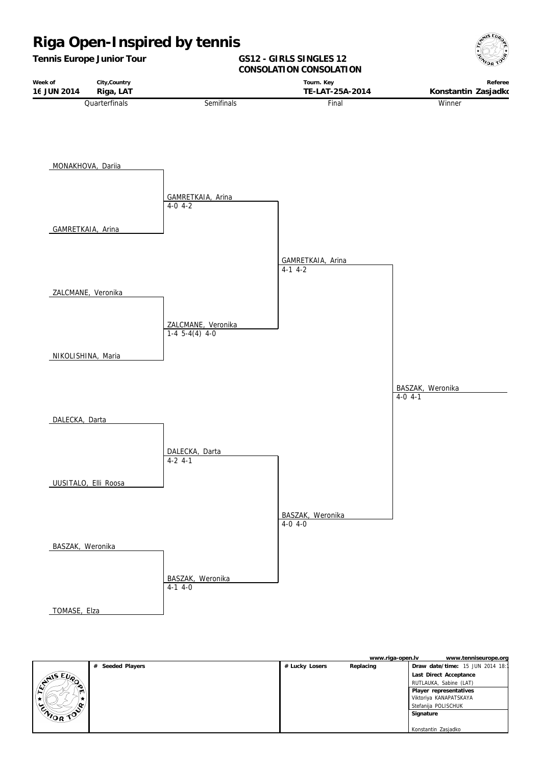

**www.riga-open.lv www.tenniseurope.org # Seeded Players # Lucky Losers Replacing Draw date/time:** 15 JUN 2014 18:15 ANS EURO  **Last Direct Acceptance** RUTLAUKA, Sabine (LAT)  **Player representatives HISADETO**  Viktoriya KANAPATSKAYA Þ, Stefanija POLISCHUK  **Signature** Konstantin Zasjadko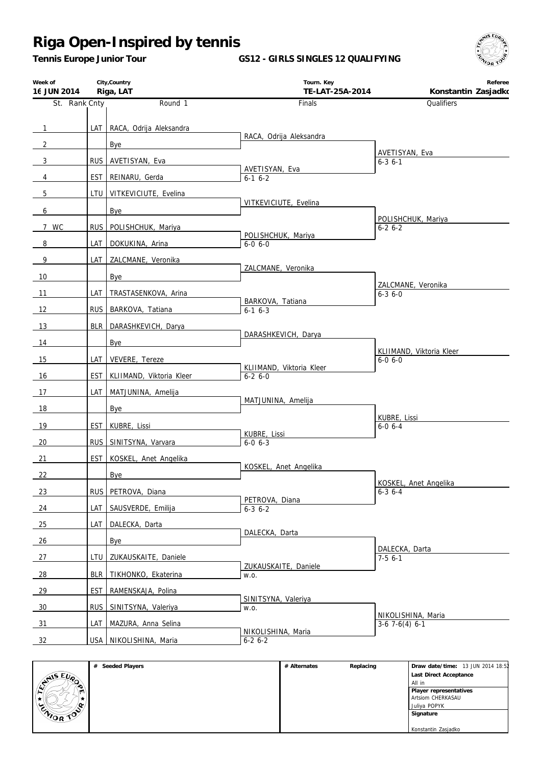*Tennis Europe Junior Tour*

#### **GS12 - GIRLS SINGLES 12 QUALIFYING**



| Week of<br>16 JUN 2014 |            | City, Country<br>Riga, LAT  | Tourn. Key<br>TE-LAT-25A-2014            | Referee<br>Konstantin Zasjadko            |
|------------------------|------------|-----------------------------|------------------------------------------|-------------------------------------------|
| St. Rank Cnty          |            | Round 1                     | Finals                                   | Qualifiers                                |
|                        |            |                             |                                          |                                           |
| $\mathbf{1}$           |            | LAT RACA, Odrija Aleksandra | RACA, Odrija Aleksandra                  |                                           |
| $\overline{2}$         |            | Bye                         |                                          | AVETISYAN, Eva                            |
| 3                      |            | RUS AVETISYAN, Eva          | AVETISYAN, Eva                           | $6 - 36 - 1$                              |
| 4                      | EST        | REINARU, Gerda              | $6-1$ $6-2$                              |                                           |
| 5                      | LTU        | VITKEVICIUTE, Evelina       |                                          |                                           |
| 6                      |            | Bye                         | VITKEVICIUTE, Evelina                    |                                           |
| 7 WC                   |            | RUS   POLISHCHUK, Mariya    |                                          | POLISHCHUK, Mariya<br>$6 - 26 - 2$        |
| 8                      | LAT        | DOKUKINA, Arina             | POLISHCHUK, Mariya<br>$6 - 0, 6 - 0$     |                                           |
| 9                      | LAT        | ZALCMANE, Veronika          |                                          |                                           |
|                        |            |                             | ZALCMANE, Veronika                       |                                           |
| 10                     |            | Bye                         |                                          | ZALCMANE, Veronika                        |
| 11                     | LAT        | TRASTASENKOVA, Arina        | BARKOVA, Tatiana                         | $6 - 3$ 6 - 0                             |
| 12                     |            | RUS_BARKOVA, Tatiana        | $6-1$ $6-3$                              |                                           |
| 13                     |            | BLR   DARASHKEVICH, Darya   |                                          |                                           |
| 14                     |            | Bye                         | DARASHKEVICH, Darya                      |                                           |
| 15                     | LAT        | VEVERE, Tereze              |                                          | KLIIMAND, Viktoria Kleer<br>$6 - 0 6 - 0$ |
| 16                     | <b>EST</b> | KLIIMAND, Viktoria Kleer    | KLIIMAND, Viktoria Kleer<br>$6 - 26 - 0$ |                                           |
| 17                     | LAT        | MATJUNINA, Amelija          |                                          |                                           |
| 18                     |            | Bye                         | MATJUNINA, Amelija                       |                                           |
|                        |            |                             |                                          | KUBRE, Lissi                              |
| <u>19</u>              | EST        | KUBRE, Lissi                | KUBRE, Lissi                             | $6 - 06 - 4$                              |
| 20                     |            | RUS SINITSYNA, Varvara      | $6 - 0 6 - 3$                            |                                           |
| 21                     | <b>EST</b> | KOSKEL, Anet Angelika       | KOSKEL, Anet Angelika                    |                                           |
| 22                     |            | Bye                         |                                          | KOSKEL, Anet Angelika                     |
| 23                     |            | RUS PETROVA, Diana          |                                          | $6 - 3$ 6 - 4                             |
| 24                     | LAT        | SAUSVERDE, Emilija          | PETROVA, Diana<br>$6 - 3$ $6 - 2$        |                                           |
| 25                     | LAT        | DALECKA, Darta              |                                          |                                           |
| 26                     |            | Bye                         | DALECKA, Darta                           |                                           |
| 27                     | LTU        | ZUKAUSKAITE, Daniele        |                                          | DALECKA, Darta<br>$7-56-1$                |
|                        |            |                             | ZUKAUSKAITE, Daniele                     |                                           |
| 28                     | <b>BLR</b> | TIKHONKO, Ekaterina         | W.O.                                     |                                           |
| 29                     | <b>EST</b> | RAMENSKAJA, Polina          | SINITSYNA, Valeriya                      |                                           |
| 30                     | <b>RUS</b> | SINITSYNA, Valeriya         | W.O.                                     | NIKOLISHINA, Maria                        |
| 31                     | LAT        | MAZURA, Anna Selina         | NIKOLISHINA, Maria                       | $3-6$ 7 $-6(4)$ 6 $-1$                    |
| 32                     |            | USA NIKOLISHINA, Maria      | $6-26-2$                                 |                                           |

|                    | Seeded Players<br># | # Alternates | Replacing | Draw date/time: 13 JUN 2014 18:52 |
|--------------------|---------------------|--------------|-----------|-----------------------------------|
|                    |                     |              |           | Last Direct Acceptance            |
| $x^{\text{NIS E}}$ |                     |              |           | All in                            |
| ا اسا              |                     |              |           | Player representatives            |
|                    |                     |              |           | Artsiom CHERKASAU                 |
| ما<br>۱œ.          |                     |              |           | Juliya POPYK                      |
| CAIOR TOP          |                     |              |           | Signature                         |
|                    |                     |              |           |                                   |
|                    |                     |              |           | Konstantin Zasjadko               |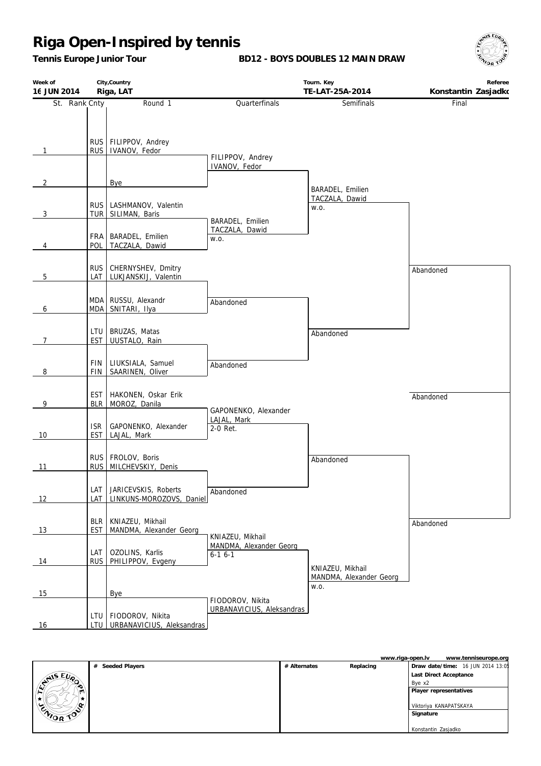*Tennis Europe Junior Tour*

**BD12 - BOYS DOUBLES 12 MAIN DRAW**



| Week of<br>16 JUN 2014 | City, Country<br>Riga, LAT     |                                                  | Tourn. Key<br>TE-LAT-25A-2014                 |                                 | Referee<br>Konstantin Zasjadko |
|------------------------|--------------------------------|--------------------------------------------------|-----------------------------------------------|---------------------------------|--------------------------------|
| St. Rank Cnty          |                                | Round 1                                          | Quarterfinals                                 | Semifinals                      | Final                          |
| 1                      | RUS <sup>I</sup>               | RUS FILIPPOV, Andrey<br>IVANOV, Fedor            | FILIPPOV, Andrey<br>IVANOV, Fedor             |                                 |                                |
| $\overline{2}$         |                                | Bye                                              |                                               | BARADEL, Emilien                |                                |
| 3                      |                                | RUS   LASHMANOV, Valentin<br>TUR SILIMAN, Baris  | BARADEL, Emilien                              | TACZALA, Dawid<br>W.O.          |                                |
| 4                      | POL                            | FRA   BARADEL, Emilien<br>TACZALA, Dawid         | TACZALA, Dawid<br>W.O.                        |                                 |                                |
| 5                      | <b>RUS</b><br>LAT              | CHERNYSHEV, Dmitry<br>LUKJANSKIJ, Valentin       |                                               |                                 | Abandoned                      |
| 6                      | <b>MDA</b>                     | MDA RUSSU, Alexandr<br>SNITARI, Ilya             | Abandoned                                     |                                 |                                |
| 7                      | <b>EST</b>                     | LTU BRUZAS, Matas<br>UUSTALO, Rain               |                                               | Abandoned                       |                                |
| 8                      | <b>FIN</b><br><b>FIN</b>       | LIUKSIALA, Samuel<br>SAARINEN, Oliver            | Abandoned                                     |                                 |                                |
| 9                      | EST <sub>I</sub><br><b>BLR</b> | HAKONEN, Oskar Erik<br>MOROZ, Danila             | GAPONENKO, Alexander                          |                                 | Abandoned                      |
| 10                     | <b>ISR</b><br>EST              | GAPONENKO, Alexander<br>LAJAL, Mark              | LAJAL, Mark<br>2-0 Ret.                       |                                 |                                |
| 11                     | RUS                            | RUS FROLOV, Boris<br>MILCHEVSKIY, Denis          |                                               | Abandoned                       |                                |
| 12                     | LAT<br>LAT                     | JARICEVSKIS, Roberts<br>LINKUNS-MOROZOVS, Daniel | Abandoned                                     |                                 |                                |
| 13                     | <b>BLR</b><br><b>EST</b>       | KNIAZEU, Mikhail<br>MANDMA, Alexander Georg      | KNIAZEU, Mikhail                              |                                 | Abandoned                      |
| 14                     | LAT<br><b>RUS</b>              | OZOLINS, Karlis<br>PHILIPPOV, Evgeny             | MANDMA, Alexander Georg<br>$6-16-1$           | KNIAZEU, Mikhail                |                                |
| 15                     |                                | Bye                                              |                                               | MANDMA, Alexander Georg<br>W.O. |                                |
| 16                     | LTU I<br>LTU                   | FIODOROV, Nikita<br>URBANAVICIUS, Aleksandras    | FIODOROV, Nikita<br>URBANAVICIUS, Aleksandras |                                 |                                |

|           |                     |              | www.riga-open.lv | www.tenniseurope.org              |
|-----------|---------------------|--------------|------------------|-----------------------------------|
|           | Seeded Players<br># | # Alternates | Replacing        | Draw date/time: 16 JUN 2014 13:05 |
|           |                     |              |                  | Last Direct Acceptance            |
| ANIS EURO |                     |              |                  | Bye x2                            |
|           |                     |              |                  | Player representatives            |
|           |                     |              |                  |                                   |
|           |                     |              |                  | Viktoriya KANAPATSKAYA            |
| ENIOR TOP |                     |              |                  | Signature                         |
|           |                     |              |                  |                                   |
|           |                     |              |                  | Konstantin Zasjadko               |